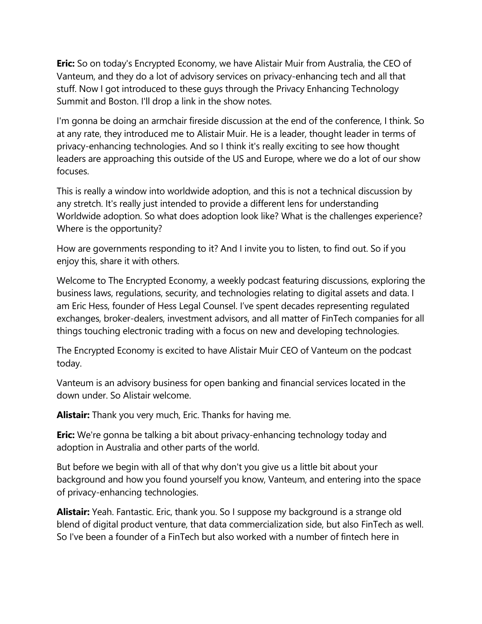**Eric:** So on today's Encrypted Economy, we have Alistair Muir from Australia, the CEO of Vanteum, and they do a lot of advisory services on privacy-enhancing tech and all that stuff. Now I got introduced to these guys through the Privacy Enhancing Technology Summit and Boston. I'll drop a link in the show notes.

I'm gonna be doing an armchair fireside discussion at the end of the conference, I think. So at any rate, they introduced me to Alistair Muir. He is a leader, thought leader in terms of privacy-enhancing technologies. And so I think it's really exciting to see how thought leaders are approaching this outside of the US and Europe, where we do a lot of our show focuses.

This is really a window into worldwide adoption, and this is not a technical discussion by any stretch. It's really just intended to provide a different lens for understanding Worldwide adoption. So what does adoption look like? What is the challenges experience? Where is the opportunity?

How are governments responding to it? And I invite you to listen, to find out. So if you enjoy this, share it with others.

Welcome to The Encrypted Economy, a weekly podcast featuring discussions, exploring the business laws, regulations, security, and technologies relating to digital assets and data. I am Eric Hess, founder of Hess Legal Counsel. I've spent decades representing regulated exchanges, broker-dealers, investment advisors, and all matter of FinTech companies for all things touching electronic trading with a focus on new and developing technologies.

The Encrypted Economy is excited to have Alistair Muir CEO of Vanteum on the podcast today.

Vanteum is an advisory business for open banking and financial services located in the down under. So Alistair welcome.

**Alistair:** Thank you very much, Eric. Thanks for having me.

**Eric:** We're gonna be talking a bit about privacy-enhancing technology today and adoption in Australia and other parts of the world.

But before we begin with all of that why don't you give us a little bit about your background and how you found yourself you know, Vanteum, and entering into the space of privacy-enhancing technologies.

**Alistair:** Yeah. Fantastic. Eric, thank you. So I suppose my background is a strange old blend of digital product venture, that data commercialization side, but also FinTech as well. So I've been a founder of a FinTech but also worked with a number of fintech here in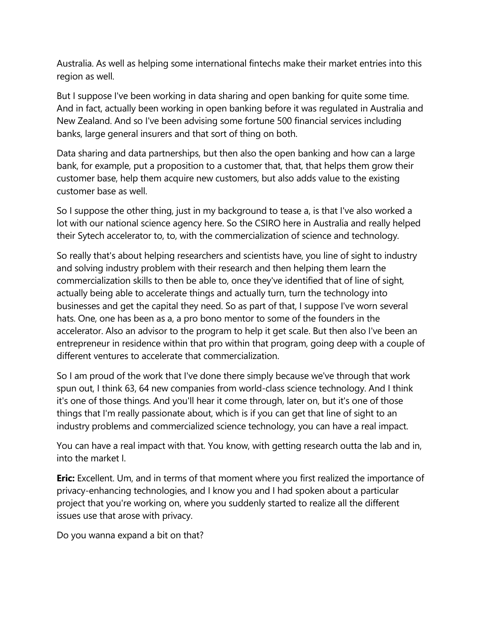Australia. As well as helping some international fintechs make their market entries into this region as well.

But I suppose I've been working in data sharing and open banking for quite some time. And in fact, actually been working in open banking before it was regulated in Australia and New Zealand. And so I've been advising some fortune 500 financial services including banks, large general insurers and that sort of thing on both.

Data sharing and data partnerships, but then also the open banking and how can a large bank, for example, put a proposition to a customer that, that, that helps them grow their customer base, help them acquire new customers, but also adds value to the existing customer base as well.

So I suppose the other thing, just in my background to tease a, is that I've also worked a lot with our national science agency here. So the CSIRO here in Australia and really helped their Sytech accelerator to, to, with the commercialization of science and technology.

So really that's about helping researchers and scientists have, you line of sight to industry and solving industry problem with their research and then helping them learn the commercialization skills to then be able to, once they've identified that of line of sight, actually being able to accelerate things and actually turn, turn the technology into businesses and get the capital they need. So as part of that, I suppose I've worn several hats. One, one has been as a, a pro bono mentor to some of the founders in the accelerator. Also an advisor to the program to help it get scale. But then also I've been an entrepreneur in residence within that pro within that program, going deep with a couple of different ventures to accelerate that commercialization.

So I am proud of the work that I've done there simply because we've through that work spun out, I think 63, 64 new companies from world-class science technology. And I think it's one of those things. And you'll hear it come through, later on, but it's one of those things that I'm really passionate about, which is if you can get that line of sight to an industry problems and commercialized science technology, you can have a real impact.

You can have a real impact with that. You know, with getting research outta the lab and in, into the market I.

**Eric:** Excellent. Um, and in terms of that moment where you first realized the importance of privacy-enhancing technologies, and I know you and I had spoken about a particular project that you're working on, where you suddenly started to realize all the different issues use that arose with privacy.

Do you wanna expand a bit on that?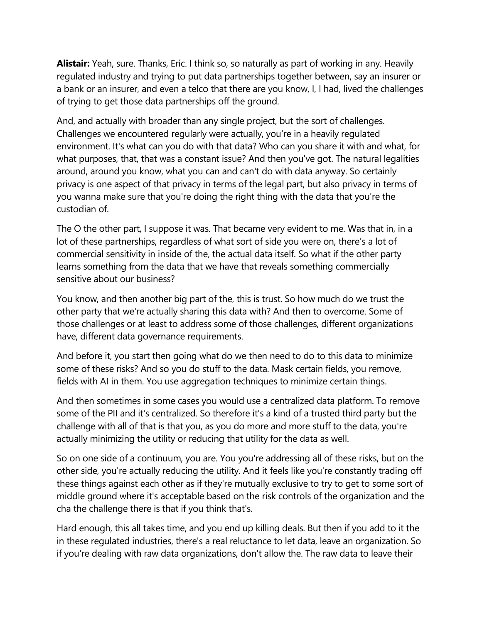**Alistair:** Yeah, sure. Thanks, Eric. I think so, so naturally as part of working in any. Heavily regulated industry and trying to put data partnerships together between, say an insurer or a bank or an insurer, and even a telco that there are you know, I, I had, lived the challenges of trying to get those data partnerships off the ground.

And, and actually with broader than any single project, but the sort of challenges. Challenges we encountered regularly were actually, you're in a heavily regulated environment. It's what can you do with that data? Who can you share it with and what, for what purposes, that, that was a constant issue? And then you've got. The natural legalities around, around you know, what you can and can't do with data anyway. So certainly privacy is one aspect of that privacy in terms of the legal part, but also privacy in terms of you wanna make sure that you're doing the right thing with the data that you're the custodian of.

The O the other part, I suppose it was. That became very evident to me. Was that in, in a lot of these partnerships, regardless of what sort of side you were on, there's a lot of commercial sensitivity in inside of the, the actual data itself. So what if the other party learns something from the data that we have that reveals something commercially sensitive about our business?

You know, and then another big part of the, this is trust. So how much do we trust the other party that we're actually sharing this data with? And then to overcome. Some of those challenges or at least to address some of those challenges, different organizations have, different data governance requirements.

And before it, you start then going what do we then need to do to this data to minimize some of these risks? And so you do stuff to the data. Mask certain fields, you remove, fields with AI in them. You use aggregation techniques to minimize certain things.

And then sometimes in some cases you would use a centralized data platform. To remove some of the PII and it's centralized. So therefore it's a kind of a trusted third party but the challenge with all of that is that you, as you do more and more stuff to the data, you're actually minimizing the utility or reducing that utility for the data as well.

So on one side of a continuum, you are. You you're addressing all of these risks, but on the other side, you're actually reducing the utility. And it feels like you're constantly trading off these things against each other as if they're mutually exclusive to try to get to some sort of middle ground where it's acceptable based on the risk controls of the organization and the cha the challenge there is that if you think that's.

Hard enough, this all takes time, and you end up killing deals. But then if you add to it the in these regulated industries, there's a real reluctance to let data, leave an organization. So if you're dealing with raw data organizations, don't allow the. The raw data to leave their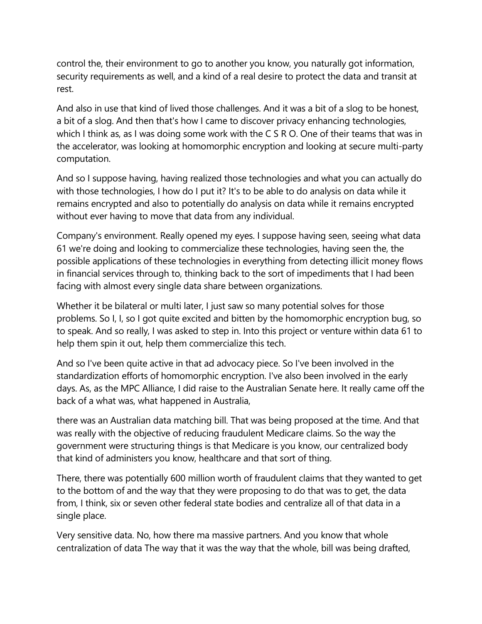control the, their environment to go to another you know, you naturally got information, security requirements as well, and a kind of a real desire to protect the data and transit at rest.

And also in use that kind of lived those challenges. And it was a bit of a slog to be honest, a bit of a slog. And then that's how I came to discover privacy enhancing technologies, which I think as, as I was doing some work with the C S R O. One of their teams that was in the accelerator, was looking at homomorphic encryption and looking at secure multi-party computation.

And so I suppose having, having realized those technologies and what you can actually do with those technologies, I how do I put it? It's to be able to do analysis on data while it remains encrypted and also to potentially do analysis on data while it remains encrypted without ever having to move that data from any individual.

Company's environment. Really opened my eyes. I suppose having seen, seeing what data 61 we're doing and looking to commercialize these technologies, having seen the, the possible applications of these technologies in everything from detecting illicit money flows in financial services through to, thinking back to the sort of impediments that I had been facing with almost every single data share between organizations.

Whether it be bilateral or multi later, I just saw so many potential solves for those problems. So I, I, so I got quite excited and bitten by the homomorphic encryption bug, so to speak. And so really, I was asked to step in. Into this project or venture within data 61 to help them spin it out, help them commercialize this tech.

And so I've been quite active in that ad advocacy piece. So I've been involved in the standardization efforts of homomorphic encryption. I've also been involved in the early days. As, as the MPC Alliance, I did raise to the Australian Senate here. It really came off the back of a what was, what happened in Australia,

there was an Australian data matching bill. That was being proposed at the time. And that was really with the objective of reducing fraudulent Medicare claims. So the way the government were structuring things is that Medicare is you know, our centralized body that kind of administers you know, healthcare and that sort of thing.

There, there was potentially 600 million worth of fraudulent claims that they wanted to get to the bottom of and the way that they were proposing to do that was to get, the data from, I think, six or seven other federal state bodies and centralize all of that data in a single place.

Very sensitive data. No, how there ma massive partners. And you know that whole centralization of data The way that it was the way that the whole, bill was being drafted,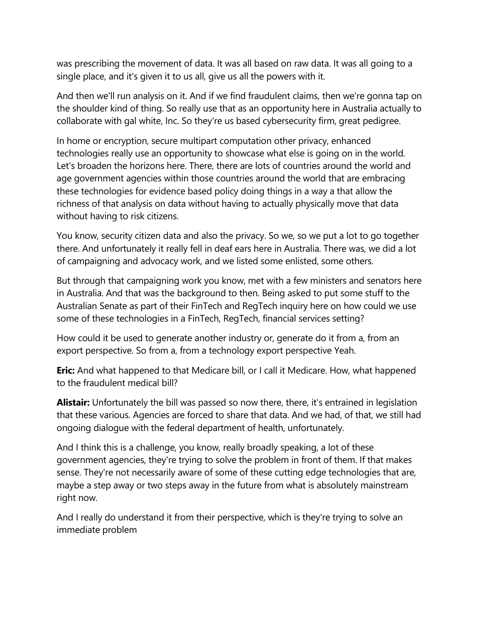was prescribing the movement of data. It was all based on raw data. It was all going to a single place, and it's given it to us all, give us all the powers with it.

And then we'll run analysis on it. And if we find fraudulent claims, then we're gonna tap on the shoulder kind of thing. So really use that as an opportunity here in Australia actually to collaborate with gal white, Inc. So they're us based cybersecurity firm, great pedigree.

In home or encryption, secure multipart computation other privacy, enhanced technologies really use an opportunity to showcase what else is going on in the world. Let's broaden the horizons here. There, there are lots of countries around the world and age government agencies within those countries around the world that are embracing these technologies for evidence based policy doing things in a way a that allow the richness of that analysis on data without having to actually physically move that data without having to risk citizens.

You know, security citizen data and also the privacy. So we, so we put a lot to go together there. And unfortunately it really fell in deaf ears here in Australia. There was, we did a lot of campaigning and advocacy work, and we listed some enlisted, some others.

But through that campaigning work you know, met with a few ministers and senators here in Australia. And that was the background to then. Being asked to put some stuff to the Australian Senate as part of their FinTech and RegTech inquiry here on how could we use some of these technologies in a FinTech, RegTech, financial services setting?

How could it be used to generate another industry or, generate do it from a, from an export perspective. So from a, from a technology export perspective Yeah.

**Eric:** And what happened to that Medicare bill, or I call it Medicare. How, what happened to the fraudulent medical bill?

**Alistair:** Unfortunately the bill was passed so now there, there, it's entrained in legislation that these various. Agencies are forced to share that data. And we had, of that, we still had ongoing dialogue with the federal department of health, unfortunately.

And I think this is a challenge, you know, really broadly speaking, a lot of these government agencies, they're trying to solve the problem in front of them. If that makes sense. They're not necessarily aware of some of these cutting edge technologies that are, maybe a step away or two steps away in the future from what is absolutely mainstream right now.

And I really do understand it from their perspective, which is they're trying to solve an immediate problem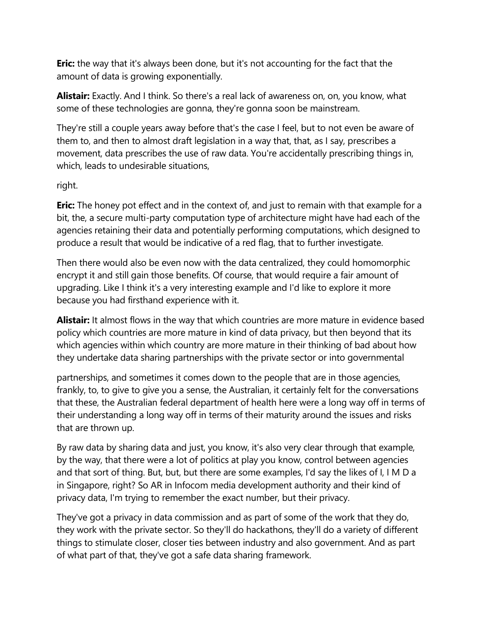**Eric:** the way that it's always been done, but it's not accounting for the fact that the amount of data is growing exponentially.

**Alistair:** Exactly. And I think. So there's a real lack of awareness on, on, you know, what some of these technologies are gonna, they're gonna soon be mainstream.

They're still a couple years away before that's the case I feel, but to not even be aware of them to, and then to almost draft legislation in a way that, that, as I say, prescribes a movement, data prescribes the use of raw data. You're accidentally prescribing things in, which, leads to undesirable situations,

## right.

**Eric:** The honey pot effect and in the context of, and just to remain with that example for a bit, the, a secure multi-party computation type of architecture might have had each of the agencies retaining their data and potentially performing computations, which designed to produce a result that would be indicative of a red flag, that to further investigate.

Then there would also be even now with the data centralized, they could homomorphic encrypt it and still gain those benefits. Of course, that would require a fair amount of upgrading. Like I think it's a very interesting example and I'd like to explore it more because you had firsthand experience with it.

**Alistair:** It almost flows in the way that which countries are more mature in evidence based policy which countries are more mature in kind of data privacy, but then beyond that its which agencies within which country are more mature in their thinking of bad about how they undertake data sharing partnerships with the private sector or into governmental

partnerships, and sometimes it comes down to the people that are in those agencies, frankly, to, to give to give you a sense, the Australian, it certainly felt for the conversations that these, the Australian federal department of health here were a long way off in terms of their understanding a long way off in terms of their maturity around the issues and risks that are thrown up.

By raw data by sharing data and just, you know, it's also very clear through that example, by the way, that there were a lot of politics at play you know, control between agencies and that sort of thing. But, but, but there are some examples, I'd say the likes of I, I M D a in Singapore, right? So AR in Infocom media development authority and their kind of privacy data, I'm trying to remember the exact number, but their privacy.

They've got a privacy in data commission and as part of some of the work that they do, they work with the private sector. So they'll do hackathons, they'll do a variety of different things to stimulate closer, closer ties between industry and also government. And as part of what part of that, they've got a safe data sharing framework.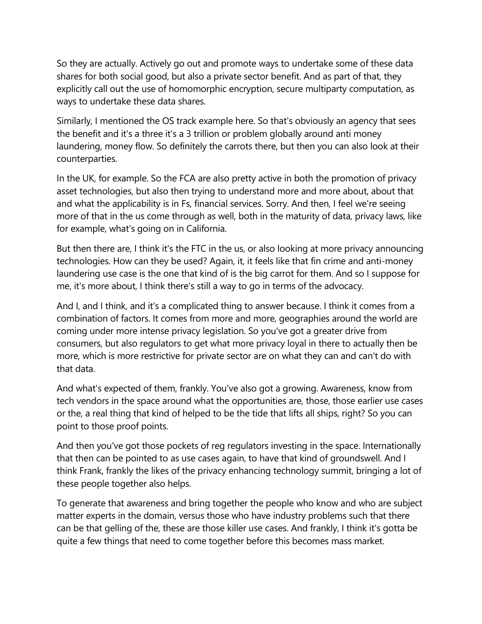So they are actually. Actively go out and promote ways to undertake some of these data shares for both social good, but also a private sector benefit. And as part of that, they explicitly call out the use of homomorphic encryption, secure multiparty computation, as ways to undertake these data shares.

Similarly, I mentioned the OS track example here. So that's obviously an agency that sees the benefit and it's a three it's a 3 trillion or problem globally around anti money laundering, money flow. So definitely the carrots there, but then you can also look at their counterparties.

In the UK, for example. So the FCA are also pretty active in both the promotion of privacy asset technologies, but also then trying to understand more and more about, about that and what the applicability is in Fs, financial services. Sorry. And then, I feel we're seeing more of that in the us come through as well, both in the maturity of data, privacy laws, like for example, what's going on in California.

But then there are, I think it's the FTC in the us, or also looking at more privacy announcing technologies. How can they be used? Again, it, it feels like that fin crime and anti-money laundering use case is the one that kind of is the big carrot for them. And so I suppose for me, it's more about, I think there's still a way to go in terms of the advocacy.

And I, and I think, and it's a complicated thing to answer because. I think it comes from a combination of factors. It comes from more and more, geographies around the world are coming under more intense privacy legislation. So you've got a greater drive from consumers, but also regulators to get what more privacy loyal in there to actually then be more, which is more restrictive for private sector are on what they can and can't do with that data.

And what's expected of them, frankly. You've also got a growing. Awareness, know from tech vendors in the space around what the opportunities are, those, those earlier use cases or the, a real thing that kind of helped to be the tide that lifts all ships, right? So you can point to those proof points.

And then you've got those pockets of reg regulators investing in the space. Internationally that then can be pointed to as use cases again, to have that kind of groundswell. And I think Frank, frankly the likes of the privacy enhancing technology summit, bringing a lot of these people together also helps.

To generate that awareness and bring together the people who know and who are subject matter experts in the domain, versus those who have industry problems such that there can be that gelling of the, these are those killer use cases. And frankly, I think it's gotta be quite a few things that need to come together before this becomes mass market.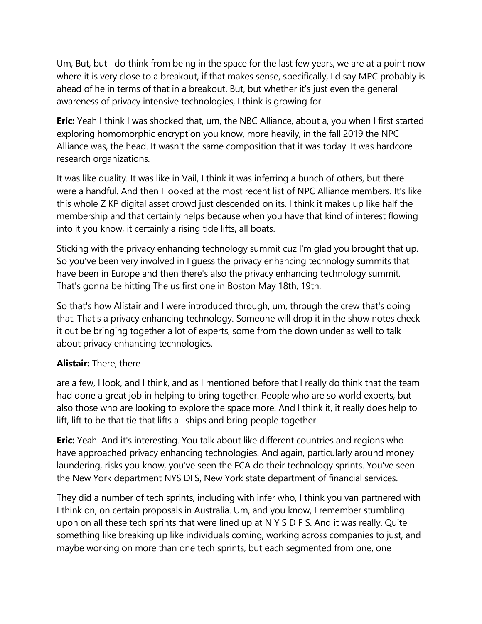Um, But, but I do think from being in the space for the last few years, we are at a point now where it is very close to a breakout, if that makes sense, specifically, I'd say MPC probably is ahead of he in terms of that in a breakout. But, but whether it's just even the general awareness of privacy intensive technologies, I think is growing for.

**Eric:** Yeah I think I was shocked that, um, the NBC Alliance, about a, you when I first started exploring homomorphic encryption you know, more heavily, in the fall 2019 the NPC Alliance was, the head. It wasn't the same composition that it was today. It was hardcore research organizations.

It was like duality. It was like in Vail, I think it was inferring a bunch of others, but there were a handful. And then I looked at the most recent list of NPC Alliance members. It's like this whole Z KP digital asset crowd just descended on its. I think it makes up like half the membership and that certainly helps because when you have that kind of interest flowing into it you know, it certainly a rising tide lifts, all boats.

Sticking with the privacy enhancing technology summit cuz I'm glad you brought that up. So you've been very involved in I guess the privacy enhancing technology summits that have been in Europe and then there's also the privacy enhancing technology summit. That's gonna be hitting The us first one in Boston May 18th, 19th.

So that's how Alistair and I were introduced through, um, through the crew that's doing that. That's a privacy enhancing technology. Someone will drop it in the show notes check it out be bringing together a lot of experts, some from the down under as well to talk about privacy enhancing technologies.

## **Alistair:** There, there

are a few, I look, and I think, and as I mentioned before that I really do think that the team had done a great job in helping to bring together. People who are so world experts, but also those who are looking to explore the space more. And I think it, it really does help to lift, lift to be that tie that lifts all ships and bring people together.

**Eric:** Yeah. And it's interesting. You talk about like different countries and regions who have approached privacy enhancing technologies. And again, particularly around money laundering, risks you know, you've seen the FCA do their technology sprints. You've seen the New York department NYS DFS, New York state department of financial services.

They did a number of tech sprints, including with infer who, I think you van partnered with I think on, on certain proposals in Australia. Um, and you know, I remember stumbling upon on all these tech sprints that were lined up at N Y S D F S. And it was really. Quite something like breaking up like individuals coming, working across companies to just, and maybe working on more than one tech sprints, but each segmented from one, one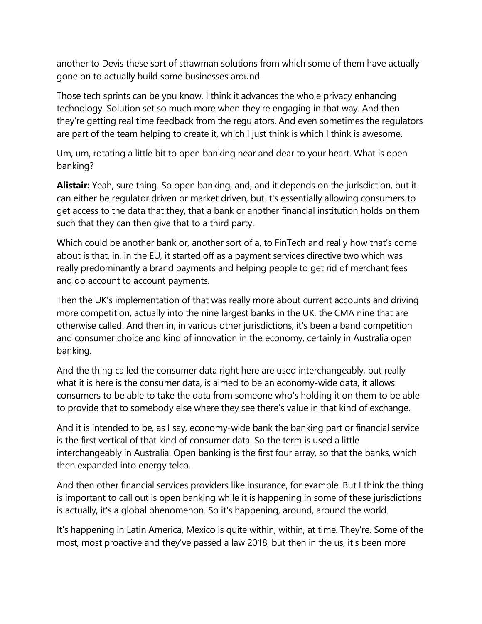another to Devis these sort of strawman solutions from which some of them have actually gone on to actually build some businesses around.

Those tech sprints can be you know, I think it advances the whole privacy enhancing technology. Solution set so much more when they're engaging in that way. And then they're getting real time feedback from the regulators. And even sometimes the regulators are part of the team helping to create it, which I just think is which I think is awesome.

Um, um, rotating a little bit to open banking near and dear to your heart. What is open banking?

**Alistair:** Yeah, sure thing. So open banking, and, and it depends on the jurisdiction, but it can either be regulator driven or market driven, but it's essentially allowing consumers to get access to the data that they, that a bank or another financial institution holds on them such that they can then give that to a third party.

Which could be another bank or, another sort of a, to FinTech and really how that's come about is that, in, in the EU, it started off as a payment services directive two which was really predominantly a brand payments and helping people to get rid of merchant fees and do account to account payments.

Then the UK's implementation of that was really more about current accounts and driving more competition, actually into the nine largest banks in the UK, the CMA nine that are otherwise called. And then in, in various other jurisdictions, it's been a band competition and consumer choice and kind of innovation in the economy, certainly in Australia open banking.

And the thing called the consumer data right here are used interchangeably, but really what it is here is the consumer data, is aimed to be an economy-wide data, it allows consumers to be able to take the data from someone who's holding it on them to be able to provide that to somebody else where they see there's value in that kind of exchange.

And it is intended to be, as I say, economy-wide bank the banking part or financial service is the first vertical of that kind of consumer data. So the term is used a little interchangeably in Australia. Open banking is the first four array, so that the banks, which then expanded into energy telco.

And then other financial services providers like insurance, for example. But I think the thing is important to call out is open banking while it is happening in some of these jurisdictions is actually, it's a global phenomenon. So it's happening, around, around the world.

It's happening in Latin America, Mexico is quite within, within, at time. They're. Some of the most, most proactive and they've passed a law 2018, but then in the us, it's been more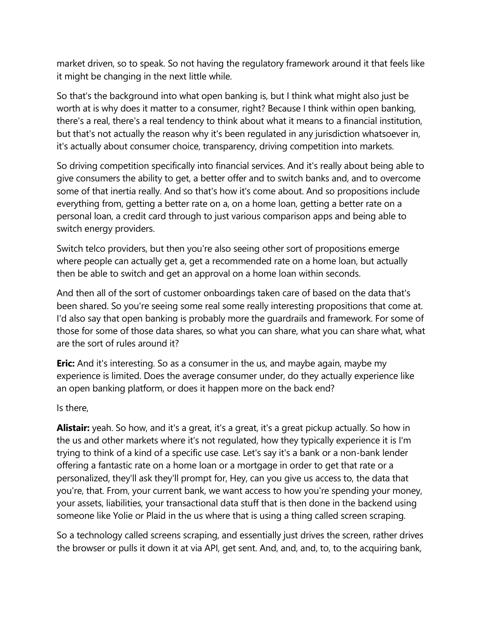market driven, so to speak. So not having the regulatory framework around it that feels like it might be changing in the next little while.

So that's the background into what open banking is, but I think what might also just be worth at is why does it matter to a consumer, right? Because I think within open banking, there's a real, there's a real tendency to think about what it means to a financial institution, but that's not actually the reason why it's been regulated in any jurisdiction whatsoever in, it's actually about consumer choice, transparency, driving competition into markets.

So driving competition specifically into financial services. And it's really about being able to give consumers the ability to get, a better offer and to switch banks and, and to overcome some of that inertia really. And so that's how it's come about. And so propositions include everything from, getting a better rate on a, on a home loan, getting a better rate on a personal loan, a credit card through to just various comparison apps and being able to switch energy providers.

Switch telco providers, but then you're also seeing other sort of propositions emerge where people can actually get a, get a recommended rate on a home loan, but actually then be able to switch and get an approval on a home loan within seconds.

And then all of the sort of customer onboardings taken care of based on the data that's been shared. So you're seeing some real some really interesting propositions that come at. I'd also say that open banking is probably more the guardrails and framework. For some of those for some of those data shares, so what you can share, what you can share what, what are the sort of rules around it?

**Eric:** And it's interesting. So as a consumer in the us, and maybe again, maybe my experience is limited. Does the average consumer under, do they actually experience like an open banking platform, or does it happen more on the back end?

Is there,

**Alistair:** yeah. So how, and it's a great, it's a great, it's a great pickup actually. So how in the us and other markets where it's not regulated, how they typically experience it is I'm trying to think of a kind of a specific use case. Let's say it's a bank or a non-bank lender offering a fantastic rate on a home loan or a mortgage in order to get that rate or a personalized, they'll ask they'll prompt for, Hey, can you give us access to, the data that you're, that. From, your current bank, we want access to how you're spending your money, your assets, liabilities, your transactional data stuff that is then done in the backend using someone like Yolie or Plaid in the us where that is using a thing called screen scraping.

So a technology called screens scraping, and essentially just drives the screen, rather drives the browser or pulls it down it at via API, get sent. And, and, and, to, to the acquiring bank,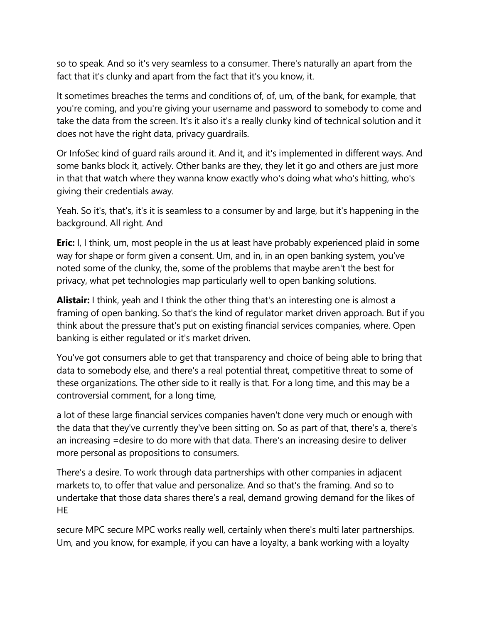so to speak. And so it's very seamless to a consumer. There's naturally an apart from the fact that it's clunky and apart from the fact that it's you know, it.

It sometimes breaches the terms and conditions of, of, um, of the bank, for example, that you're coming, and you're giving your username and password to somebody to come and take the data from the screen. It's it also it's a really clunky kind of technical solution and it does not have the right data, privacy guardrails.

Or InfoSec kind of guard rails around it. And it, and it's implemented in different ways. And some banks block it, actively. Other banks are they, they let it go and others are just more in that that watch where they wanna know exactly who's doing what who's hitting, who's giving their credentials away.

Yeah. So it's, that's, it's it is seamless to a consumer by and large, but it's happening in the background. All right. And

**Eric:** I, I think, um, most people in the us at least have probably experienced plaid in some way for shape or form given a consent. Um, and in, in an open banking system, you've noted some of the clunky, the, some of the problems that maybe aren't the best for privacy, what pet technologies map particularly well to open banking solutions.

**Alistair:** I think, yeah and I think the other thing that's an interesting one is almost a framing of open banking. So that's the kind of regulator market driven approach. But if you think about the pressure that's put on existing financial services companies, where. Open banking is either regulated or it's market driven.

You've got consumers able to get that transparency and choice of being able to bring that data to somebody else, and there's a real potential threat, competitive threat to some of these organizations. The other side to it really is that. For a long time, and this may be a controversial comment, for a long time,

a lot of these large financial services companies haven't done very much or enough with the data that they've currently they've been sitting on. So as part of that, there's a, there's an increasing =desire to do more with that data. There's an increasing desire to deliver more personal as propositions to consumers.

There's a desire. To work through data partnerships with other companies in adjacent markets to, to offer that value and personalize. And so that's the framing. And so to undertake that those data shares there's a real, demand growing demand for the likes of **HE** 

secure MPC secure MPC works really well, certainly when there's multi later partnerships. Um, and you know, for example, if you can have a loyalty, a bank working with a loyalty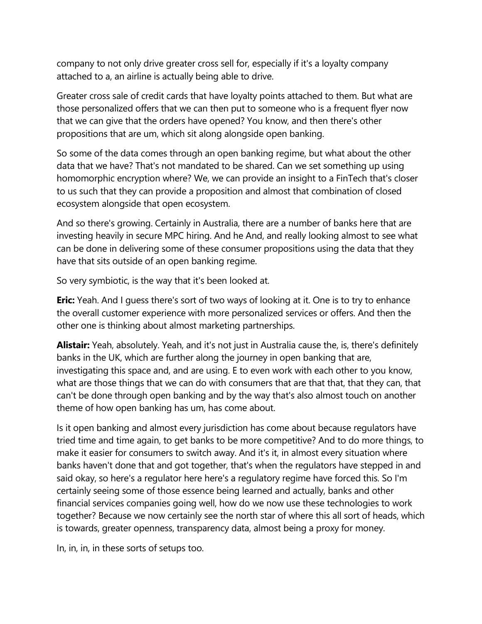company to not only drive greater cross sell for, especially if it's a loyalty company attached to a, an airline is actually being able to drive.

Greater cross sale of credit cards that have loyalty points attached to them. But what are those personalized offers that we can then put to someone who is a frequent flyer now that we can give that the orders have opened? You know, and then there's other propositions that are um, which sit along alongside open banking.

So some of the data comes through an open banking regime, but what about the other data that we have? That's not mandated to be shared. Can we set something up using homomorphic encryption where? We, we can provide an insight to a FinTech that's closer to us such that they can provide a proposition and almost that combination of closed ecosystem alongside that open ecosystem.

And so there's growing. Certainly in Australia, there are a number of banks here that are investing heavily in secure MPC hiring. And he And, and really looking almost to see what can be done in delivering some of these consumer propositions using the data that they have that sits outside of an open banking regime.

So very symbiotic, is the way that it's been looked at.

**Eric:** Yeah. And I guess there's sort of two ways of looking at it. One is to try to enhance the overall customer experience with more personalized services or offers. And then the other one is thinking about almost marketing partnerships.

**Alistair:** Yeah, absolutely. Yeah, and it's not just in Australia cause the, is, there's definitely banks in the UK, which are further along the journey in open banking that are, investigating this space and, and are using. E to even work with each other to you know, what are those things that we can do with consumers that are that that, that they can, that can't be done through open banking and by the way that's also almost touch on another theme of how open banking has um, has come about.

Is it open banking and almost every jurisdiction has come about because regulators have tried time and time again, to get banks to be more competitive? And to do more things, to make it easier for consumers to switch away. And it's it, in almost every situation where banks haven't done that and got together, that's when the regulators have stepped in and said okay, so here's a regulator here here's a regulatory regime have forced this. So I'm certainly seeing some of those essence being learned and actually, banks and other financial services companies going well, how do we now use these technologies to work together? Because we now certainly see the north star of where this all sort of heads, which is towards, greater openness, transparency data, almost being a proxy for money.

In, in, in, in these sorts of setups too.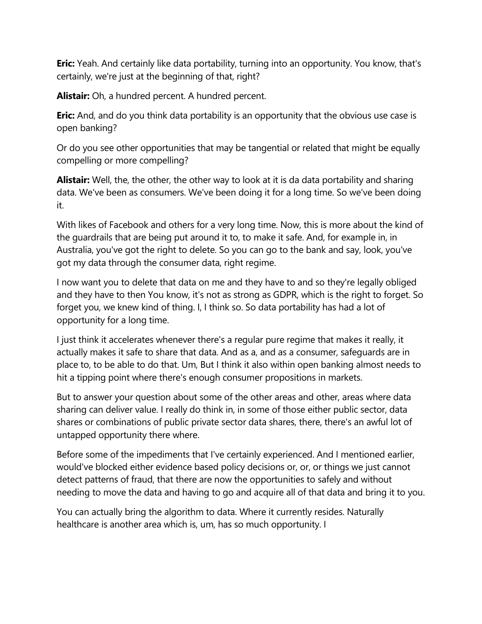**Eric:** Yeah. And certainly like data portability, turning into an opportunity. You know, that's certainly, we're just at the beginning of that, right?

**Alistair:** Oh, a hundred percent. A hundred percent.

**Eric:** And, and do you think data portability is an opportunity that the obvious use case is open banking?

Or do you see other opportunities that may be tangential or related that might be equally compelling or more compelling?

**Alistair:** Well, the, the other, the other way to look at it is da data portability and sharing data. We've been as consumers. We've been doing it for a long time. So we've been doing it.

With likes of Facebook and others for a very long time. Now, this is more about the kind of the guardrails that are being put around it to, to make it safe. And, for example in, in Australia, you've got the right to delete. So you can go to the bank and say, look, you've got my data through the consumer data, right regime.

I now want you to delete that data on me and they have to and so they're legally obliged and they have to then You know, it's not as strong as GDPR, which is the right to forget. So forget you, we knew kind of thing. I, I think so. So data portability has had a lot of opportunity for a long time.

I just think it accelerates whenever there's a regular pure regime that makes it really, it actually makes it safe to share that data. And as a, and as a consumer, safeguards are in place to, to be able to do that. Um, But I think it also within open banking almost needs to hit a tipping point where there's enough consumer propositions in markets.

But to answer your question about some of the other areas and other, areas where data sharing can deliver value. I really do think in, in some of those either public sector, data shares or combinations of public private sector data shares, there, there's an awful lot of untapped opportunity there where.

Before some of the impediments that I've certainly experienced. And I mentioned earlier, would've blocked either evidence based policy decisions or, or, or things we just cannot detect patterns of fraud, that there are now the opportunities to safely and without needing to move the data and having to go and acquire all of that data and bring it to you.

You can actually bring the algorithm to data. Where it currently resides. Naturally healthcare is another area which is, um, has so much opportunity. I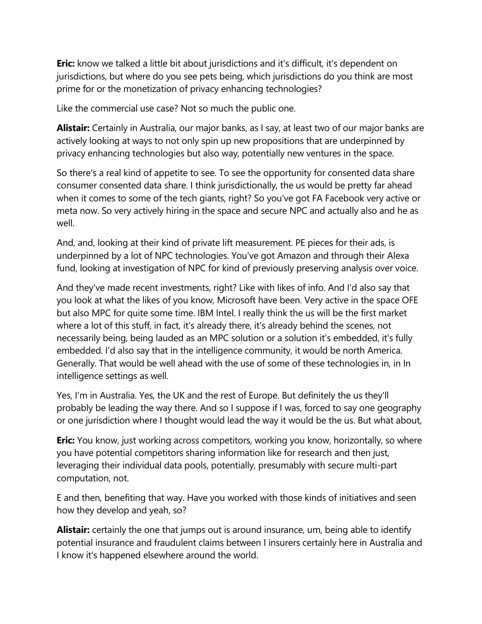**Eric:** know we talked a little bit about jurisdictions and it's difficult, it's dependent on jurisdictions, but where do you see pets being, which jurisdictions do you think are most prime for or the monetization of privacy enhancing technologies?

Like the commercial use case? Not so much the public one.

**Alistair:** Certainly in Australia, our major banks, as I say, at least two of our major banks are actively looking at ways to not only spin up new propositions that are underpinned by privacy enhancing technologies but also way, potentially new ventures in the space.

So there's a real kind of appetite to see. To see the opportunity for consented data share consumer consented data share. I think jurisdictionally, the us would be pretty far ahead when it comes to some of the tech giants, right? So you've got FA Facebook very active or meta now. So very actively hiring in the space and secure NPC and actually also and he as well.

And, and, looking at their kind of private lift measurement. PE pieces for their ads, is underpinned by a lot of NPC technologies. You've got Amazon and through their Alexa fund, looking at investigation of NPC for kind of previously preserving analysis over voice.

And they've made recent investments, right? Like with likes of info. And I'd also say that you look at what the likes of you know, Microsoft have been. Very active in the space OFE but also MPC for quite some time. IBM Intel. I really think the us will be the first market where a lot of this stuff, in fact, it's already there, it's already behind the scenes, not necessarily being, being lauded as an MPC solution or a solution it's embedded, it's fully embedded. I'd also say that in the intelligence community, it would be north America. Generally. That would be well ahead with the use of some of these technologies in, in In intelligence settings as well.

Yes, I'm in Australia. Yes, the UK and the rest of Europe. But definitely the us they'll probably be leading the way there. And so I suppose if I was, forced to say one geography or one jurisdiction where I thought would lead the way it would be the us. But what about,

**Eric:** You know, just working across competitors, working you know, horizontally, so where you have potential competitors sharing information like for research and then just, leveraging their individual data pools, potentially, presumably with secure multi-part computation, not.

E and then, benefiting that way. Have you worked with those kinds of initiatives and seen how they develop and yeah, so?

**Alistair:** certainly the one that jumps out is around insurance, um, being able to identify potential insurance and fraudulent claims between I insurers certainly here in Australia and I know it's happened elsewhere around the world.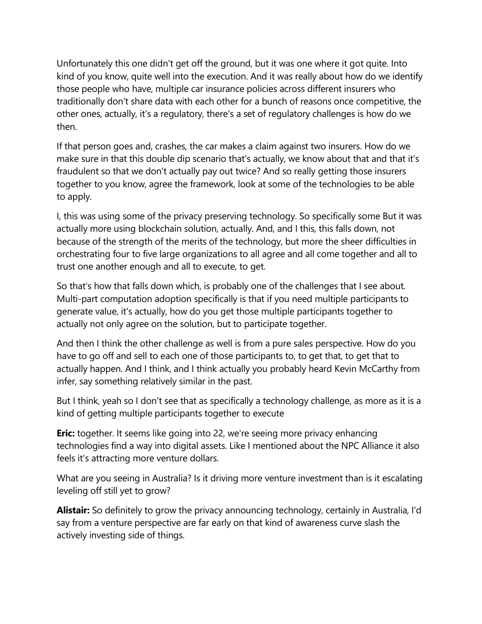Unfortunately this one didn't get off the ground, but it was one where it got quite. Into kind of you know, quite well into the execution. And it was really about how do we identify those people who have, multiple car insurance policies across different insurers who traditionally don't share data with each other for a bunch of reasons once competitive, the other ones, actually, it's a regulatory, there's a set of regulatory challenges is how do we then.

If that person goes and, crashes, the car makes a claim against two insurers. How do we make sure in that this double dip scenario that's actually, we know about that and that it's fraudulent so that we don't actually pay out twice? And so really getting those insurers together to you know, agree the framework, look at some of the technologies to be able to apply.

I, this was using some of the privacy preserving technology. So specifically some But it was actually more using blockchain solution, actually. And, and I this, this falls down, not because of the strength of the merits of the technology, but more the sheer difficulties in orchestrating four to five large organizations to all agree and all come together and all to trust one another enough and all to execute, to get.

So that's how that falls down which, is probably one of the challenges that I see about. Multi-part computation adoption specifically is that if you need multiple participants to generate value, it's actually, how do you get those multiple participants together to actually not only agree on the solution, but to participate together.

And then I think the other challenge as well is from a pure sales perspective. How do you have to go off and sell to each one of those participants to, to get that, to get that to actually happen. And I think, and I think actually you probably heard Kevin McCarthy from infer, say something relatively similar in the past.

But I think, yeah so I don't see that as specifically a technology challenge, as more as it is a kind of getting multiple participants together to execute

**Eric:** together. It seems like going into 22, we're seeing more privacy enhancing technologies find a way into digital assets. Like I mentioned about the NPC Alliance it also feels it's attracting more venture dollars.

What are you seeing in Australia? Is it driving more venture investment than is it escalating leveling off still yet to grow?

**Alistair:** So definitely to grow the privacy announcing technology, certainly in Australia, I'd say from a venture perspective are far early on that kind of awareness curve slash the actively investing side of things.